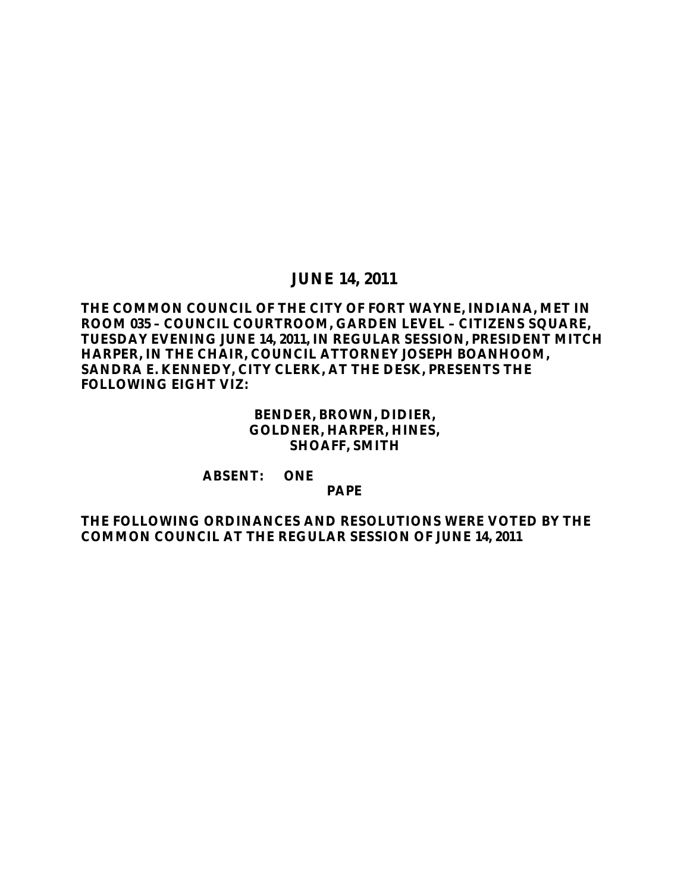## **JUNE 14, 2011**

## **THE COMMON COUNCIL OF THE CITY OF FORT WAYNE, INDIANA, MET IN ROOM 035 – COUNCIL COURTROOM, GARDEN LEVEL – CITIZENS SQUARE, TUESDAY EVENING JUNE 14, 2011, IN REGULAR SESSION, PRESIDENT MITCH HARPER, IN THE CHAIR, COUNCIL ATTORNEY JOSEPH BOANHOOM, SANDRA E. KENNEDY, CITY CLERK, AT THE DESK, PRESENTS THE FOLLOWING EIGHT VIZ:**

## **BENDER, BROWN, DIDIER, GOLDNER, HARPER, HINES, SHOAFF, SMITH**

#### **ABSENT: ONE**

### **PAPE**

### **THE FOLLOWING ORDINANCES AND RESOLUTIONS WERE VOTED BY THE COMMON COUNCIL AT THE REGULAR SESSION OF JUNE 14, 2011**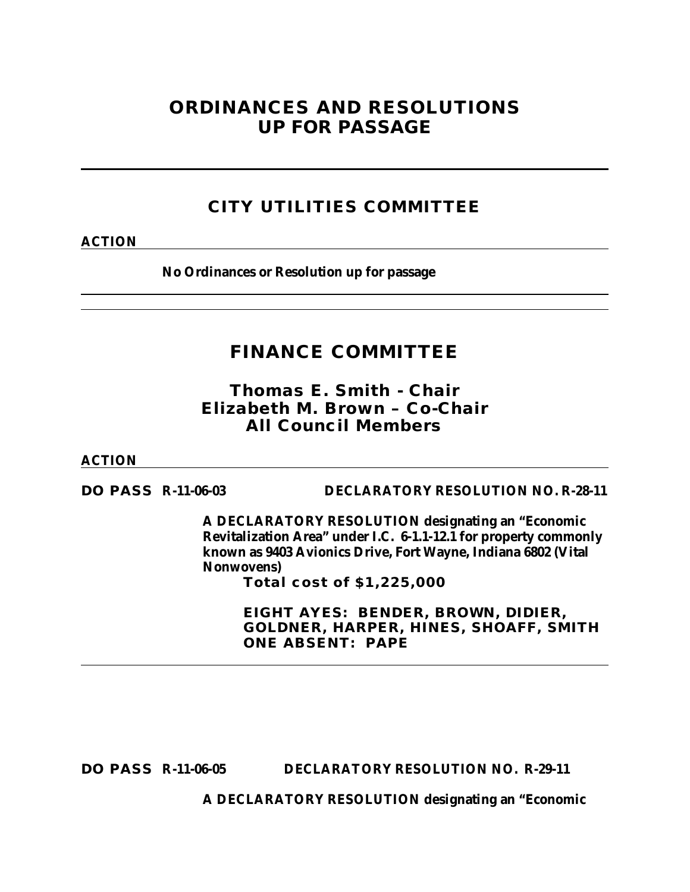# **ORDINANCES AND RESOLUTIONS UP FOR PASSAGE**

# **CITY UTILITIES COMMITTEE**

**ACTION**

**No Ordinances or Resolution up for passage**

# **FINANCE COMMITTEE**

*Thomas E. Smith - Chair Elizabeth M. Brown – Co-Chair All Council Members*

**ACTION**

**DO PASS R-11-06-03 DECLARATORY RESOLUTION NO. R-28-11**

**A DECLARATORY RESOLUTION designating an "Economic Revitalization Area" under I.C. 6-1.1-12.1 for property commonly known as 9403 Avionics Drive, Fort Wayne, Indiana 6802 (Vital Nonwovens)**

**Total cost of \$1,225,000** 

**EIGHT AYES: BENDER, BROWN, DIDIER, GOLDNER, HARPER, HINES, SHOAFF, SMITH ONE ABSENT: PAPE**

**DO PASS R-11-06-05 DECLARATORY RESOLUTION NO. R-29-11**

**A DECLARATORY RESOLUTION designating an "Economic**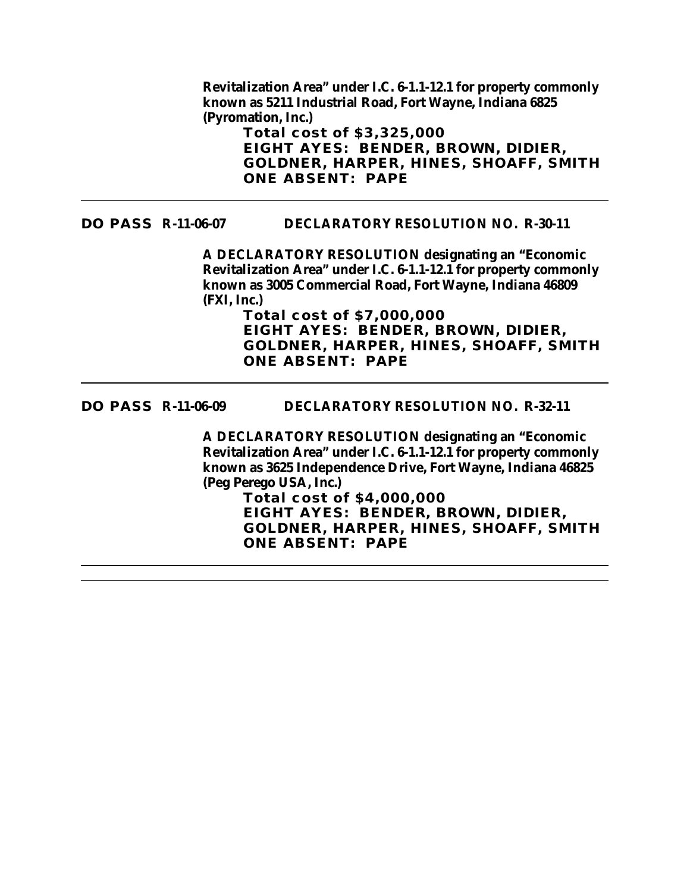**Revitalization Area" under I.C. 6-1.1-12.1 for property commonly known as 5211 Industrial Road, Fort Wayne, Indiana 6825 (Pyromation, Inc.)**

**Total cost of \$3,325,000 EIGHT AYES: BENDER, BROWN, DIDIER, GOLDNER, HARPER, HINES, SHOAFF, SMITH ONE ABSENT: PAPE**

#### **DO PASS R-11-06-07 DECLARATORY RESOLUTION NO. R-30-11**

**A DECLARATORY RESOLUTION designating an "Economic Revitalization Area" under I.C. 6-1.1-12.1 for property commonly known as 3005 Commercial Road, Fort Wayne, Indiana 46809 (FXI, Inc.)**

**Total cost of \$7,000,000 EIGHT AYES: BENDER, BROWN, DIDIER, GOLDNER, HARPER, HINES, SHOAFF, SMITH ONE ABSENT: PAPE**

#### **DO PASS R-11-06-09 DECLARATORY RESOLUTION NO. R-32-11**

**A DECLARATORY RESOLUTION designating an "Economic Revitalization Area" under I.C. 6-1.1-12.1 for property commonly known as 3625 Independence Drive, Fort Wayne, Indiana 46825 (Peg Perego USA, Inc.)**

**Total cost of \$4,000,000 EIGHT AYES: BENDER, BROWN, DIDIER, GOLDNER, HARPER, HINES, SHOAFF, SMITH ONE ABSENT: PAPE**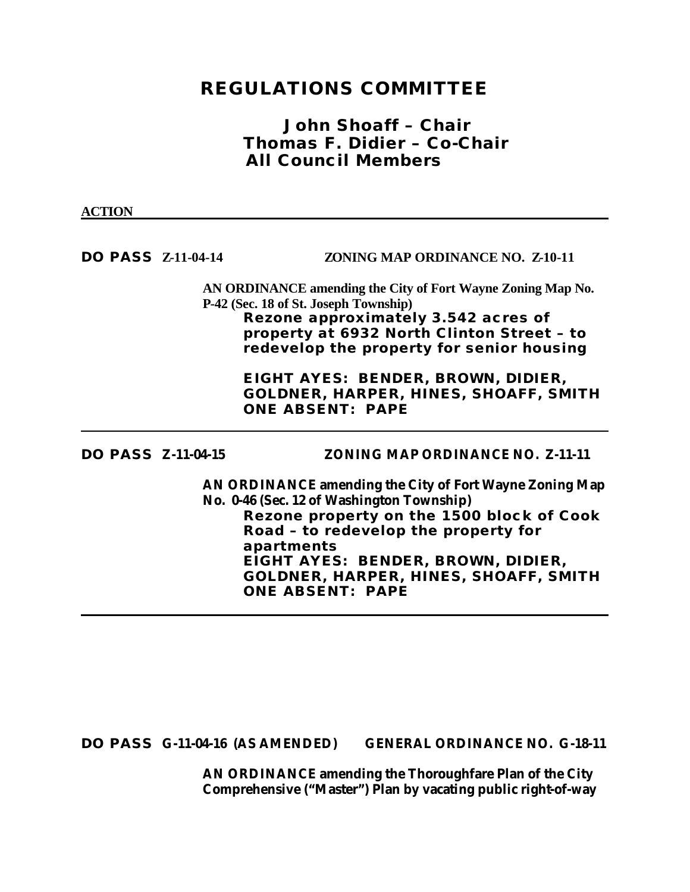# **REGULATIONS COMMITTEE**

## *John Shoaff – Chair Thomas F. Didier – Co-Chair All Council Members*

#### **ACTION**

**DO PASS Z-11-04-14 ZONING MAP ORDINANCE NO. Z-10-11**

**AN ORDINANCE amending the City of Fort Wayne Zoning Map No. P-42 (Sec. 18 of St. Joseph Township) Rezone approximately 3.542 acres of property at 6932 North Clinton Street – to redevelop the property for senior housing**

> **EIGHT AYES: BENDER, BROWN, DIDIER, GOLDNER, HARPER, HINES, SHOAFF, SMITH ONE ABSENT: PAPE**

**DO PASS Z-11-04-15 ZONING MAP ORDINANCE NO. Z-11-11**

**AN ORDINANCE amending the City of Fort Wayne Zoning Map No. 0-46 (Sec. 12 of Washington Township) Rezone property on the 1500 block of Cook Road – to redevelop the property for apartments EIGHT AYES: BENDER, BROWN, DIDIER, GOLDNER, HARPER, HINES, SHOAFF, SMITH ONE ABSENT: PAPE**

**DO PASS G-11-04-16 (AS AMENDED) GENERAL ORDINANCE NO. G-18-11**

**AN ORDINANCE amending the Thoroughfare Plan of the City Comprehensive ("Master") Plan by vacating public right-of-way**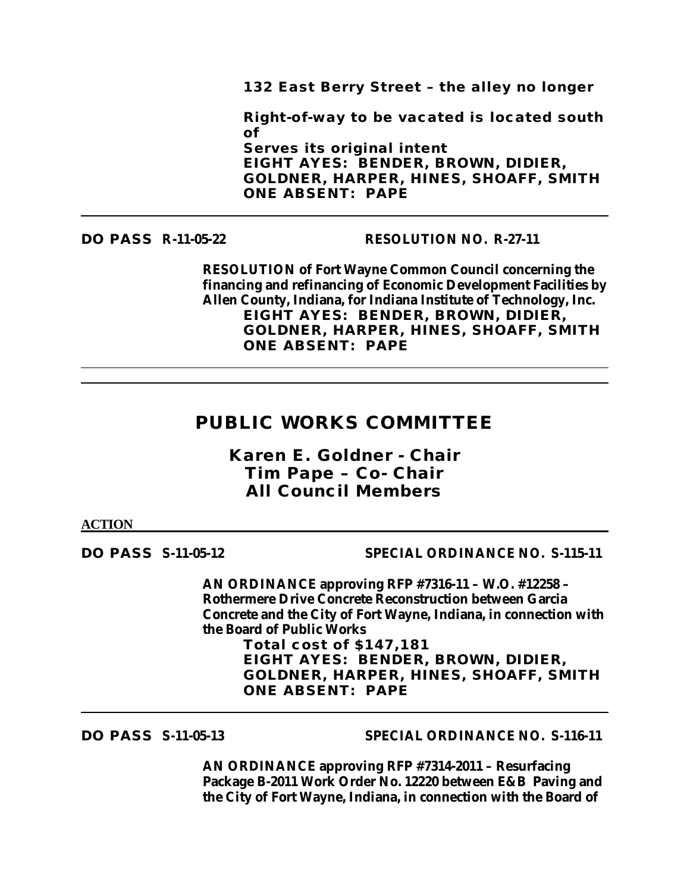**132 East Berry Street – the alley no longer**

**Right-of-way to be vacated is located south of** 

**Serves its original intent EIGHT AYES: BENDER, BROWN, DIDIER, GOLDNER, HARPER, HINES, SHOAFF, SMITH ONE ABSENT: PAPE**

#### **DO PASS R-11-05-22 RESOLUTION NO. R-27-11**

**RESOLUTION of Fort Wayne Common Council concerning the financing and refinancing of Economic Development Facilities by Allen County, Indiana, for Indiana Institute of Technology, Inc. EIGHT AYES: BENDER, BROWN, DIDIER, GOLDNER, HARPER, HINES, SHOAFF, SMITH ONE ABSENT: PAPE**

# **PUBLIC WORKS COMMITTEE**

*Karen E. Goldner - Chair Tim Pape – Co- Chair All Council Members*

#### **ACTION**

**DO PASS S-11-05-12 SPECIAL ORDINANCE NO. S-115-11**

**AN ORDINANCE approving RFP #7316-11 – W.O. #12258 – Rothermere Drive Concrete Reconstruction between Garcia Concrete and the City of Fort Wayne, Indiana, in connection with the Board of Public Works**

**Total cost of \$147,181 EIGHT AYES: BENDER, BROWN, DIDIER, GOLDNER, HARPER, HINES, SHOAFF, SMITH ONE ABSENT: PAPE**

**DO PASS S-11-05-13 SPECIAL ORDINANCE NO. S-116-11**

**AN ORDINANCE approving RFP #7314-2011 – Resurfacing Package B-2011 Work Order No. 12220 between E&B Paving and the City of Fort Wayne, Indiana, in connection with the Board of**